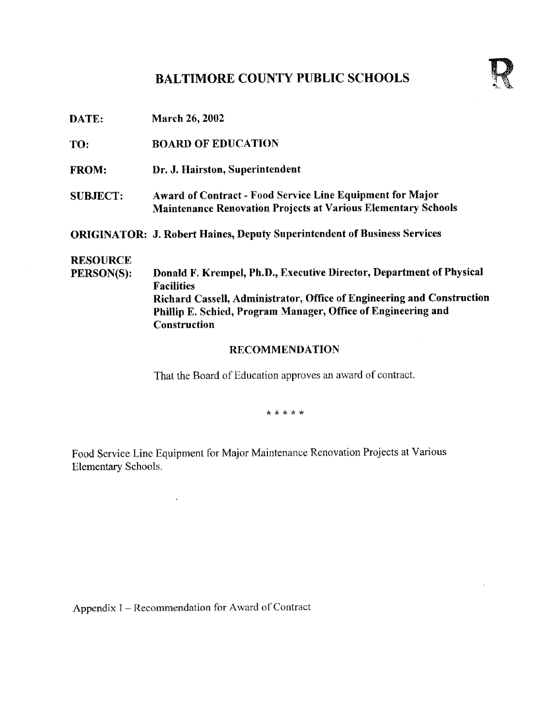## BALTIMORE COUNTY PUBLIC SCHOOLS



DATE: March 26, <sup>2002</sup>

TO: BOARD OF EDUCATION

- FROM: Dr. J. Hairston, Superintendent
- SUBJECT: Award of Contract Food Service Line Equipment for Major Maintenance Renovation Projects at Various Elementary Schools

ORIGINATOR: J. Robert Haines, Deputy Superintendent of Business Services

# **RESOURCE**<br>PERSON(S):

Donald F. Krempel, Ph.D., Executive Director, Department of Physical Facilities Richard Cassell, Administrator, Office of Engineering and Construction Phillip E. Schied, Program Manager, Office of Engineering and **Construction** 

#### RECOMMENDATION

 $\bar{\bar{z}}$ 

That the Board of Education approves an award of contract.

\* \* \* \* \*

Food Service Line Equipment for Major Maintenance Renovation Projects at Various Elementary Schools .

Appendix I - Recommendation for Award of Contract

 $\ddot{\phantom{a}}$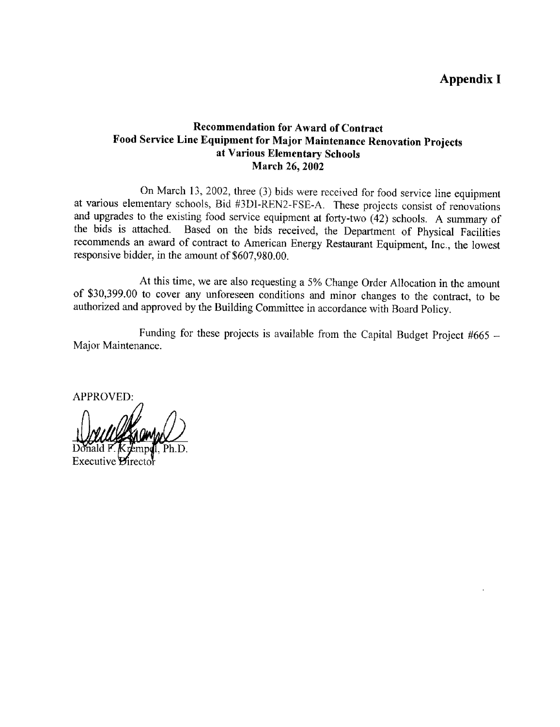## Appendix I

### Recommendation for Award of Contract Food Service Line Equipment for Major Maintenance Renovation Projects at Various Elementary Schools March 26, 2002

On March 13, 2002, three (3) bids were received for food service line equipment at various elementary schools, Bid #3DI-REN2-FSE-A . These projects consist of renovations and upgrades to the existing food service equipment at forty-two (42) schools. A summary of the bids is attached. Based on the bids received, the Department of Physical Facilities recommends an award of contract to American Energy Restaurant Equipment, Inc ., the lowest responsive bidder, in the amount of \$607,980.00.

At this time, we are also requesting <sup>a</sup> 5% Change Order Allocation in the amount of \$30,399.00 to cover any unforeseen conditions and minor changes to the contract, to be authorized and approved by the Building Committee in accordance with Board Policy.

Funding for these projects is available from the Capital Budget Project #665 -Major Maintenance.

**APPROVED:** 

Executive *Dire*